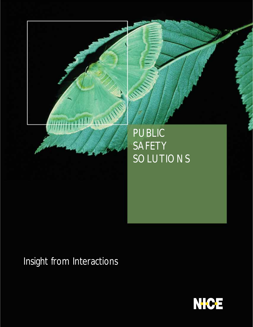

**Call Call Inc.** 

# Insight from Interactions

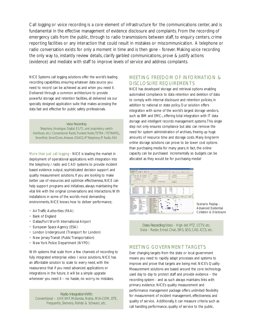Call logging or voice recording is a core element of infrastructure for the communications center, and is fundamental in the effective management of evidence disclosure and complaints. From the recording of emergency calls from the public, through to radio transmissions between staff, to enquiry centers, crime reporting facilities or any interaction that could result in mistakes or miscommunication. A telephone or radio conversation exists for only a moment in time and is then gone - forever. Making voice recording the only way to, instantly review details, clarify garbled communications, prove & justify actions (evidence) and mediate with staff to improve levels of service and address complaints.

NICE Systems call logging solutions offer the world's leading recording capabilities, ensuring whatever data source you need to record can be achieved as and when you need it. Delivered through a common architecture to provide powerful storage and retention facilities, all delivered via our specially designed application suite that makes accessing the data fast and effective for public safety professionals.

#### *Voice Recording:*

*Telephony (Analogue, Digital, E1/T1, and proprietary switch interfaces, etc.) Conventional Radio,Trunked Radio,TETRA / TETRAPOL, SmartNet, SmartZone, Airwave, EDACS, IP Telephony, IP Radio, FAX*

More than just call logging - NICE is leading the market in deployment of operational applications with integration into the telephony / radio and CAD systems to provide incident based evidence output, sophisticated decision support and quality measurement solutions. If you are looking to make better use of resources and optimize effectiveness, NICE can help support programs and initiatives, always maintaining the vital link with the original conversations and interactions.With installations in some of the worlds most demanding environments, NICE knows how to deliver performance;

- Air Traffic Authorities (FAA)
- Bank of England
- Dallas/Fort Worth International Airport
- European Space Agency (ESA)
- London Underground (Transport for London)
- New Jersey Transit (Public Transportation)
- New York Police Department (NYPD)

With systems that scale from a few channels of recording to fully integrated enterprise video / voice solutions, NICE has an affordable solution to scale to every need, with the reassurance that if you need advanced applications or integrations in the future, it will be a simple upgrade whenever you need it – no hassle, no worry, no mistakes.

#### *Radio Integration With: Conventional – UHF,VHF, Motorola, Nokia, M/A-COM, OTE, Frequentis, Siemens, Rohde & Schwarz, etc.*

## MEETING FREEDOM OF INFORMATION & DISCLOSURE REQUIREMENTS

NICE has developed storage and retrieval options enabling automated compliance to data retention and deletion of data to comply with internal disclosure and retention policies, in addition to national or state policy. Our solution offers integration with some of the world's largest storage vendors, such as IBM and EMC<sub>2</sub>, offering total integration with IT data storage and intelligent records management systems.This single step not only ensures compliance but also can remove the need for system administration of archives, freeing up huge amounts of resource time and storage costs. Many long-term online storage solutions can prove to be lower cost options than purchasing media for many years; in fact, the online capacity can be purchased incrementally so budgets can be allocated as they would be for purchasing media!



Scenario Replay - Advanced Evidential Collation & Disclosure

*Data Recording:Video - High def, PTZ, CCTV, etc. Data - Radar, Email, Chat, SMS, SDS, CAD, ICCS, etc.*

#### MEETING GOVERNMENT TARGETS

Ever changing targets from the state or local government means you need to rapidly adapt processes and systems to improve and prove that targets are being met. NICE's Quality Measurement solutions are based around the core technology used day to day to protect staff and provide evidence – the recording system - and as such always maintains links with primary evidence. NICE's quality measurement and performance management package offers unlimited flexibility for measurement of incident management, effectiveness and quality of service. Additionally, it can measure criteria such as call handling performance, quality of service to the public,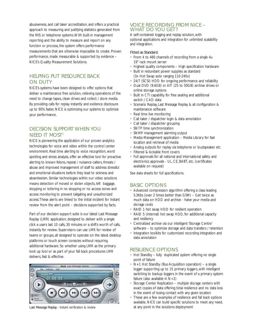abusiveness, and call taker accreditation, and offers a practical approach to measuring and justifying statistics generated from the MIS or telephone systems.With built-in management reporting and the ability to measure and report on any function or process, the system offers performance measurements that are otherwise impossible to create. Proven performance, made measurable & supported by evidence – NICE's Quality Measurement Solutions.

## HELPING PUT RESOURCE BACK ON DUTY

NICE's systems have been designed to offer options that deliver a maintenance free solution, relieving operations of the need to change tapes, clean drives and collect / store media. By providing calls for replay instantly and evidence disclosure up to 90% faster, NICE is optimizing our systems to optimize your performance.

### DECISION SUPPORT WHEN YOU NEED IT MOST†

NICE is pioneering the application of our proven analytics technologies for voice and video within the control center environment. Real time alerting to voice recognition, word spotting and stress analysis, offer an effective tool for proactive alerting to known felons, repeat / nuisance callers, threats / abuse and improved management of staff to address stressful and emotional situations before they lead to sickness and absenteeism. Similar technologies within our video solutions means detection of moved or stolen objects, left baggage, stopping or loitering in no stopping or no access zones and access monitoring to prevent tailgating and unauthorized access.These alerts are linked to the initial incident for instant review from the alert point – decisions supported by facts.

Part of our decision support suite is our latest Last Message Replay (LMR) application, designed to deliver with a single click a users last 10 calls, 30 minutes or a shift's worth of calls, instantly for review. Supervisors can use LMR for review of teams or groups, all designed to operate on the latest desktop platforms or touch screen consoles without requiring additional hardware. So whether using LMR as the primary look up tool or as part of your fall back procedures LMR delivers, fast & effective.



### VOICE RECORDING FROM NICE – WHAT DO YOU GET?

A self-contained logging and replay solution, with optional applications and integration for unlimited scalability and integration.

#### Fitted as Standard:

- From 4 to 480 channels of recording from a single 4u 19" rack mount server
- Highest quality components High specification hardware
- Built in redundant power supplies as standard (3x Hot Swap auto ranging 110-240v)
- 24/7 (SCSI) HDD for ongoing performance and reliability
- Dual DVD (9.4GB) or AIT (25 to 50GB) archive drives or online storage options
- Built in CTI capability for free seating and additional switch / CAD data
- Scenario Replay, Last Message Replay & all configuration & maintenance software
- Real time live monitoring
- Call taker / dispatcher login & data annotation
- Call taker / dispatcher grouping
- SNTP time synchronization
- SNMP management alarming output
- Media Management application Media Library for fast location and retrieval of media
- Analog outputs for replay via telephone or loudspeaker etc
- Filtered & lockable front covers
- Full approvals for all national and international safety and electronics approvals - UL, CE, BABT, etc. (certificates available on request)

See data sheets for full specifications.

#### BASIC OPTIONS

- Advanced compression algorithm offering a class leading 5.3Kbs (over 2 times better than GSM) – Get twice as much data on HDD and archive - halve your media and storage costs
- RAID 1 hot swap HDD for resilient operation
- RAID 5 (internal) hot swap HDD, for additional capacity and resiliency
- Centralized archive via our intelligent 'Storage Centre' software – to optimize storage and data transfers / retention
- Integration toolkits for customized recording integration and data annotation

## RESILIENCE OPTIONS

- Hot Standby fully duplicated system offering no single point of failure
- N+1 Hot Standby (Bus Acquisition operation) a single logger supporting up to 15 primary loggers, with intelligent switching to backup loggers in the event of a primary system failure (also available in  $N+2$ )
- Storage Center Replication multiple storage centers with exact copies of data offering total resilience and no data loss in the event of losing contact with any given location
- These are a few examples of resilience and fall back options available, NICE can build specific solutions to meet any need, Last Message Replay - Instant verification & review at any point in the solutions deployment